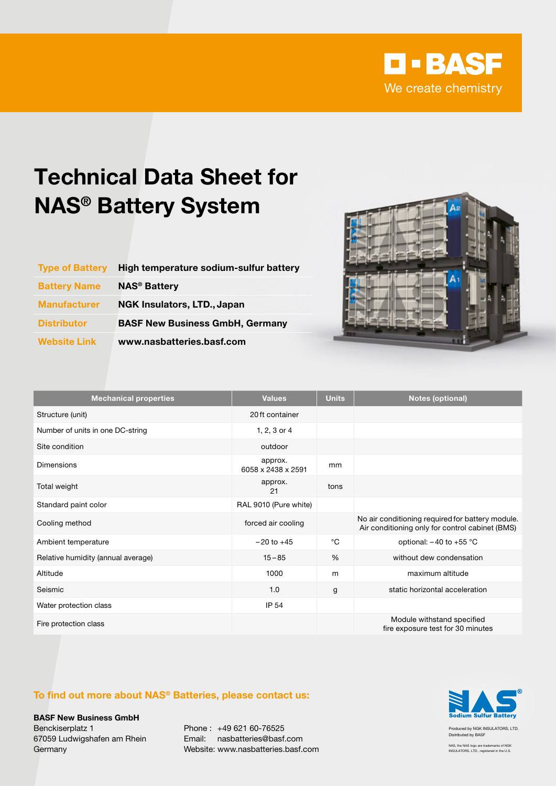

## Technical Data Sheet for NAS® Battery System

| <b>Type of Battery</b> | High temperature sodium-sulfur battery |
|------------------------|----------------------------------------|
| <b>Battery Name</b>    | <b>NAS<sup>®</sup> Battery</b>         |
| <b>Manufacturer</b>    | NGK Insulators, LTD., Japan            |
| <b>Distributor</b>     | <b>BASF New Business GmbH, Germany</b> |
| <b>Website Link</b>    | www.nasbatteries.basf.com              |



| <b>Mechanical properties</b>       | <b>Values</b>                 | <b>Units</b> | <b>Notes (optional)</b>                                                                             |
|------------------------------------|-------------------------------|--------------|-----------------------------------------------------------------------------------------------------|
| Structure (unit)                   | 20 ft container               |              |                                                                                                     |
| Number of units in one DC-string   | 1, 2, 3 or 4                  |              |                                                                                                     |
| Site condition                     | outdoor                       |              |                                                                                                     |
| Dimensions                         | approx.<br>6058 x 2438 x 2591 | mm           |                                                                                                     |
| Total weight                       | approx.<br>21                 | tons         |                                                                                                     |
| Standard paint color               | RAL 9010 (Pure white)         |              |                                                                                                     |
| Cooling method                     | forced air cooling            |              | No air conditioning required for battery module.<br>Air conditioning only for control cabinet (BMS) |
| Ambient temperature                | $-20$ to $+45$                | $^{\circ}C$  | optional: $-40$ to $+55$ °C                                                                         |
| Relative humidity (annual average) | $15 - 85$                     | %            | without dew condensation                                                                            |
| Altitude                           | 1000                          | m            | maximum altitude                                                                                    |
| Seismic                            | 1.0                           | g            | static horizontal acceleration                                                                      |
| Water protection class             | IP 54                         |              |                                                                                                     |
| Fire protection class              |                               |              | Module withstand specified<br>fire exposure test for 30 minutes                                     |

## To find out more about NAS® Batteries, please contact us:

BASF New Business GmbH Benckiserplatz 1 67059 Ludwigshafen am Rhein **Germany** 

Phone : +49 621 60-76525 Email: nasbatteries@basf.com Website: www.nasbatteries.basf.com



Produced by NGK INSULATORS, LTD. Distributed by BASF

NAS, the NAS logo are trademarks of NGK INSULATORS, LTD., registered in the U.S.